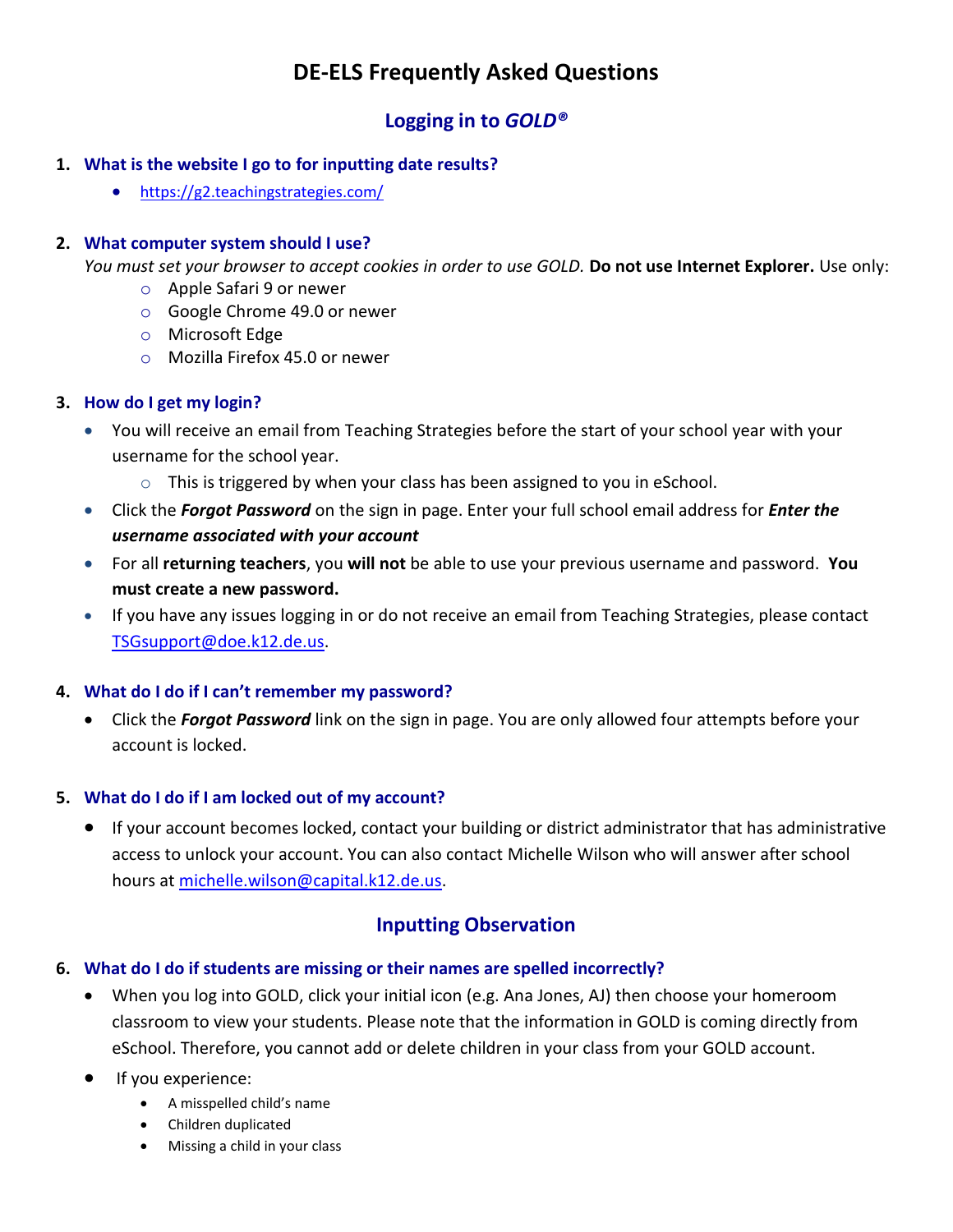# **DE-ELS Frequently Asked Questions**

## **Logging in to** *GOLD®*

### **1. What is the website I go to for inputting date results?**

<https://g2.teachingstrategies.com/>

#### **2. What computer system should I use?**

*You must set your browser to accept cookies in order to use GOLD.* **Do not use Internet Explorer.** Use only:

- o Apple Safari 9 or newer
- o Google Chrome 49.0 or newer
- o Microsoft Edge
- o Mozilla Firefox 45.0 or newer

#### **3. How do I get my login?**

- You will receive an email from Teaching Strategies before the start of your school year with your username for the school year.
	- o This is triggered by when your class has been assigned to you in eSchool.
- Click the *Forgot Password* on the sign in page. Enter your full school email address for *Enter the username associated with your account*
- For all **returning teachers**, you **will not** be able to use your previous username and password. **You must create a new password.**
- If you have any issues logging in or do not receive an email from Teaching Strategies, please contact [TSGsupport@doe.k12.de.us.](mailto:TSGsupport@doe.k12.de.us)

### **4. What do I do if I can't remember my password?**

 Click the *Forgot Password* link on the sign in page. You are only allowed four attempts before your account is locked.

#### **5. What do I do if I am locked out of my account?**

 If your account becomes locked, contact your building or district administrator that has administrative access to unlock your account. You can also contact Michelle Wilson who will answer after school hours at [michelle.wilson@capital.k12.de.us.](mailto:michelle.wilson@capital.k12.de.us)

## **Inputting Observation**

#### **6. What do I do if students are missing or their names are spelled incorrectly?**

- When you log into GOLD, click your initial icon (e.g. Ana Jones, AJ) then choose your homeroom classroom to view your students. Please note that the information in GOLD is coming directly from eSchool. Therefore, you cannot add or delete children in your class from your GOLD account.
- **If you experience:** 
	- A misspelled child's name
	- Children duplicated
	- Missing a child in your class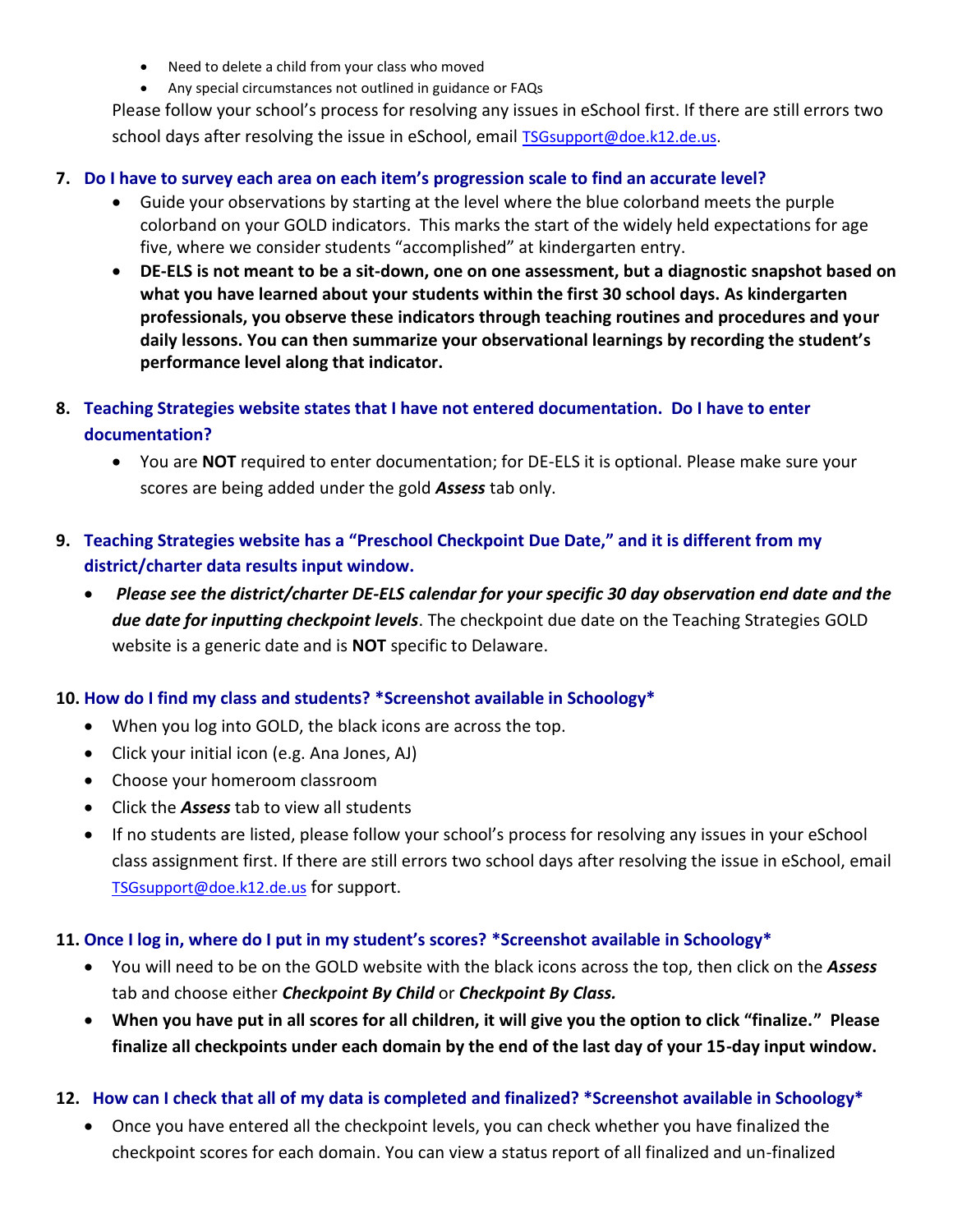- Need to delete a child from your class who moved
- Any special circumstances not outlined in guidance or FAQs

Please follow your school's process for resolving any issues in eSchool first. If there are still errors two school days after resolving the issue in eSchool, email [TSGsupport@doe.k12.de.us.](mailto:TSGsupport@doe.k12.de.us)

#### **7. Do I have to survey each area on each item's progression scale to find an accurate level?**

- Guide your observations by starting at the level where the blue colorband meets the purple colorband on your GOLD indicators. This marks the start of the widely held expectations for age five, where we consider students "accomplished" at kindergarten entry.
- **DE-ELS is not meant to be a sit-down, one on one assessment, but a diagnostic snapshot based on what you have learned about your students within the first 30 school days. As kindergarten professionals, you observe these indicators through teaching routines and procedures and your daily lessons. You can then summarize your observational learnings by recording the student's performance level along that indicator.**
- **8. Teaching Strategies website states that I have not entered documentation. Do I have to enter documentation?**
	- You are **NOT** required to enter documentation; for DE-ELS it is optional. Please make sure your scores are being added under the gold *Assess* tab only.
- **9. Teaching Strategies website has a "Preschool Checkpoint Due Date," and it is different from my district/charter data results input window.**
	- *Please see the district/charter DE-ELS calendar for your specific 30 day observation end date and the due date for inputting checkpoint levels*. The checkpoint due date on the Teaching Strategies GOLD website is a generic date and is **NOT** specific to Delaware.

### **10. How do I find my class and students? \*Screenshot available in Schoology\***

- When you log into GOLD, the black icons are across the top.
- Click your initial icon (e.g. Ana Jones, AJ)
- Choose your homeroom classroom
- Click the *Assess* tab to view all students
- If no students are listed, please follow your school's process for resolving any issues in your eSchool class assignment first. If there are still errors two school days after resolving the issue in eSchool, email [TSGsupport@doe.k12.de.us](mailto:TSGsupport@doe.k12.de.us) for support.

### **11. Once I log in, where do I put in my student's scores? \*Screenshot available in Schoology\***

- You will need to be on the GOLD website with the black icons across the top, then click on the *Assess*  tab and choose either *Checkpoint By Child* or *Checkpoint By Class.*
- **When you have put in all scores for all children, it will give you the option to click "finalize." Please finalize all checkpoints under each domain by the end of the last day of your 15-day input window.**

### **12. How can I check that all of my data is completed and finalized? \*Screenshot available in Schoology\***

 Once you have entered all the checkpoint levels, you can check whether you have finalized the checkpoint scores for each domain. You can view a status report of all finalized and un-finalized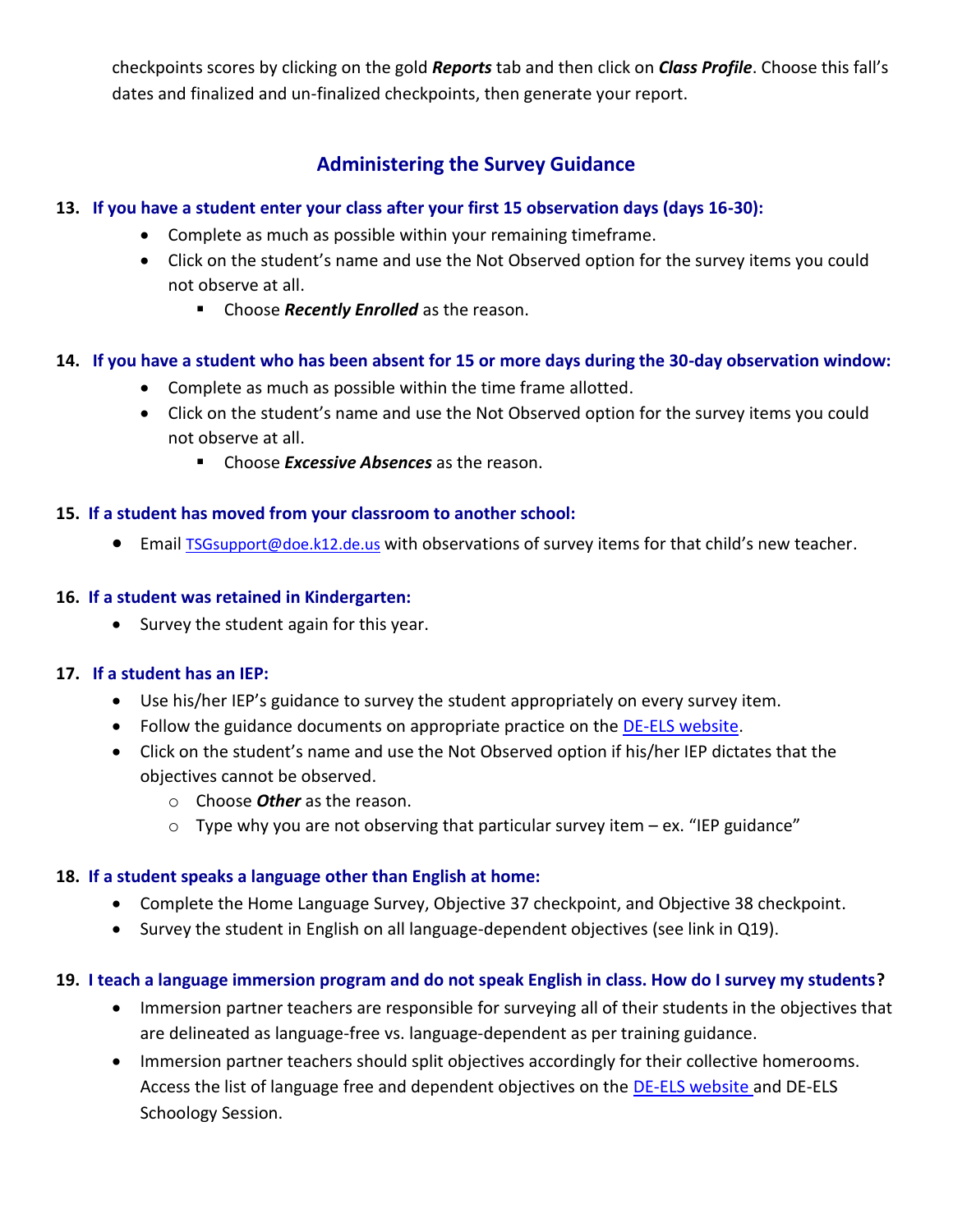checkpoints scores by clicking on the gold *Reports* tab and then click on *Class Profile*. Choose this fall's dates and finalized and un-finalized checkpoints, then generate your report.

## **Administering the Survey Guidance**

### **13. If you have a student enter your class after your first 15 observation days (days 16-30):**

- Complete as much as possible within your remaining timeframe.
- Click on the student's name and use the Not Observed option for the survey items you could not observe at all.
	- **EXP** Choose **Recently Enrolled** as the reason.

## **14. If you have a student who has been absent for 15 or more days during the 30-day observation window:**

- Complete as much as possible within the time frame allotted.
- Click on the student's name and use the Not Observed option for the survey items you could not observe at all.
	- **EXTERS Excessive Absences** as the reason.

## **15. If a student has moved from your classroom to another school:**

**•** Email [TSGsupport@doe.k12.de.us](mailto:TSGsupport@doe.k12.de.us) with observations of survey items for that child's new teacher.

## **16. If a student was retained in Kindergarten:**

• Survey the student again for this year.

### **17. If a student has an IEP:**

- Use his/her IEP's guidance to survey the student appropriately on every survey item.
- Follow the guidance documents on appropriate practice on the [DE-ELS website.](http://www.doe.k12.de.us/Page/3029)
- Click on the student's name and use the Not Observed option if his/her IEP dictates that the objectives cannot be observed.
	- o Choose *Other* as the reason.
	- $\circ$  Type why you are not observing that particular survey item ex. "IEP guidance"

## **18. If a student speaks a language other than English at home:**

- Complete the Home Language Survey, Objective 37 checkpoint, and Objective 38 checkpoint.
- Survey the student in English on all language-dependent objectives (see link in Q19).

## **19. I teach a language immersion program and do not speak English in class. How do I survey my students?**

- Immersion partner teachers are responsible for surveying all of their students in the objectives that are delineated as language-free vs. language-dependent as per training guidance.
- Immersion partner teachers should split objectives accordingly for their collective homerooms. Access the list of language free and dependent objectives on the [DE-ELS website](http://www.doe.k12.de.us/Page/3029) and DE-ELS Schoology Session.